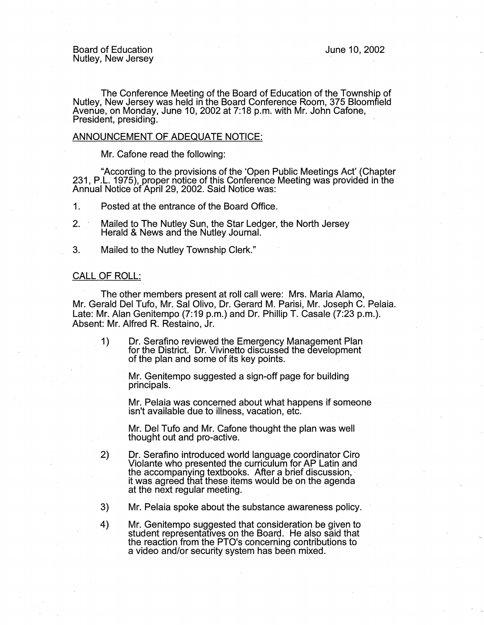The Conference Meeting of the Board of Education of the Township of Nutley, New Jersey was held in the Board Conference Room, 375 Bloomfield Avenue, on Monday, June 10, 2002 at 7:18 p.m. with Mr. John Cafone, President, presiding.

## ANNOUNCEMENT OF ADEQUATE NOTICE:

Mr. Cafone read the following:

"According to the provisions of the 'Open Public Meetings Act' (Chapter 231, P.L. 1975), proper notice of this Conference Meeting was provided in the Annual Notice of April 29, 2002. Said Notice was:

- 1. Posted at the entrance of the Board Office.
- 2. Mailed to The Nutley Sun, the Star Ledger, the North Jersey Herald & News and the Nutley Journal.
- 3. Mailed to the Nutley Township Clerk."

## CALL OF ROLL:

The other members present at roll call were: Mrs. Maria Alamo, Mr. Gerald Del Tufo, Mr. Sal Olivo, Dr. Gerard M. Parisi, Mr. Joseph C. Palaia. Late: Mr. Alan Genitempo (7:19 p.m.) and Dr. Phillip T. Casale (7:23 p.m.). Absent: Mr. Alfred R. Restaino, Jr.

1) Dr. Serafino reviewed the Emergency Management Plan for the District. Dr. Vivinetto discussed the development of the plan and some of its key points. .

Mr. Genitempo suggested a sign-off page for building principals.

Mr. Palaia was concerned about what happens if someone isn't available due to illness, vacation, etc.

Mr. Del Tufo and Mr. Cafone thought the plan was well thought out and pro-active.

- 2) Dr. Serafino introduced world language coordinator Ciro Violante who presented the curriculum for AP Latin and the accompanying textbooks. After a brief discussion, it was agreed that these items would be on the agenda at the next regular meeting. .
- 3) Mr. Pelaia spoke about the substance awareness policy.
- 4) Mr. Genitempo suggested that consideration be given to student representatives on the Board. He also said that the reaction from the PTO's concerning contributions to a video and/or security system has been mixed.